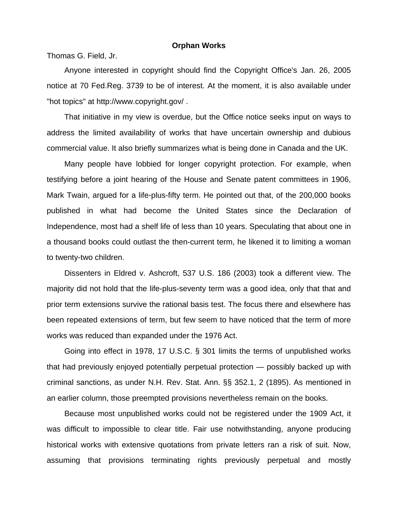## **Orphan Works**

Thomas G. Field, Jr.

 Anyone interested in copyright should find the Copyright Office's Jan. 26, 2005 notice at 70 Fed.Reg. 3739 to be of interest. At the moment, it is also available under "hot topics" at http://www.copyright.gov/ .

 That initiative in my view is overdue, but the Office notice seeks input on ways to address the limited availability of works that have uncertain ownership and dubious commercial value. It also briefly summarizes what is being done in Canada and the UK.

 Many people have lobbied for longer copyright protection. For example, when testifying before a joint hearing of the House and Senate patent committees in 1906, Mark Twain, argued for a life-plus-fifty term. He pointed out that, of the 200,000 books published in what had become the United States since the Declaration of Independence, most had a shelf life of less than 10 years. Speculating that about one in a thousand books could outlast the then-current term, he likened it to limiting a woman to twenty-two children.

 Dissenters in Eldred v. Ashcroft, 537 U.S. 186 (2003) took a different view. The majority did not hold that the life-plus-seventy term was a good idea, only that that and prior term extensions survive the rational basis test. The focus there and elsewhere has been repeated extensions of term, but few seem to have noticed that the term of more works was reduced than expanded under the 1976 Act.

 Going into effect in 1978, 17 U.S.C. § 301 limits the terms of unpublished works that had previously enjoyed potentially perpetual protection — possibly backed up with criminal sanctions, as under N.H. Rev. Stat. Ann. §§ 352.1, 2 (1895). As mentioned in an earlier column, those preempted provisions nevertheless remain on the books.

 Because most unpublished works could not be registered under the 1909 Act, it was difficult to impossible to clear title. Fair use notwithstanding, anyone producing historical works with extensive quotations from private letters ran a risk of suit. Now, assuming that provisions terminating rights previously perpetual and mostly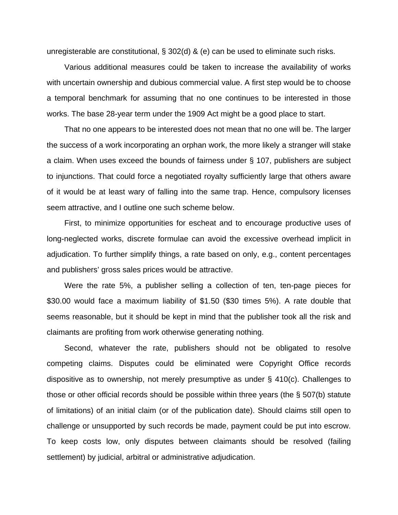unregisterable are constitutional, § 302(d) & (e) can be used to eliminate such risks.

 Various additional measures could be taken to increase the availability of works with uncertain ownership and dubious commercial value. A first step would be to choose a temporal benchmark for assuming that no one continues to be interested in those works. The base 28-year term under the 1909 Act might be a good place to start.

 That no one appears to be interested does not mean that no one will be. The larger the success of a work incorporating an orphan work, the more likely a stranger will stake a claim. When uses exceed the bounds of fairness under § 107, publishers are subject to injunctions. That could force a negotiated royalty sufficiently large that others aware of it would be at least wary of falling into the same trap. Hence, compulsory licenses seem attractive, and I outline one such scheme below.

 First, to minimize opportunities for escheat and to encourage productive uses of long-neglected works, discrete formulae can avoid the excessive overhead implicit in adjudication. To further simplify things, a rate based on only, e.g., content percentages and publishers' gross sales prices would be attractive.

 Were the rate 5%, a publisher selling a collection of ten, ten-page pieces for \$30.00 would face a maximum liability of \$1.50 (\$30 times 5%). A rate double that seems reasonable, but it should be kept in mind that the publisher took all the risk and claimants are profiting from work otherwise generating nothing.

 Second, whatever the rate, publishers should not be obligated to resolve competing claims. Disputes could be eliminated were Copyright Office records dispositive as to ownership, not merely presumptive as under § 410(c). Challenges to those or other official records should be possible within three years (the § 507(b) statute of limitations) of an initial claim (or of the publication date). Should claims still open to challenge or unsupported by such records be made, payment could be put into escrow. To keep costs low, only disputes between claimants should be resolved (failing settlement) by judicial, arbitral or administrative adjudication.